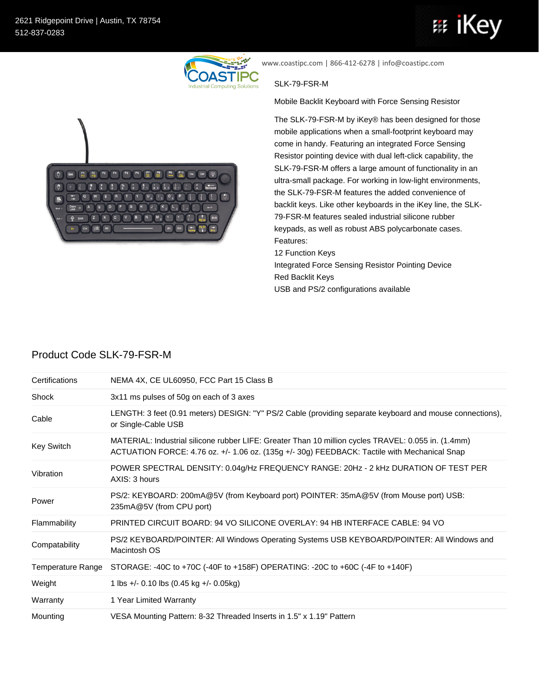

www.coastipc.com | 866-412-6278 | info@coastipc.com

## SLK-79-FSR-M

Mobile Backlit Keyboard with Force Sensing Resistor

The SLK-79-FSR-M by iKey® has been designed for those mobile applications when a small-footprint keyboard may come in handy. Featuring an integrated Force Sensing Resistor pointing device with dual left-click capability, the SLK-79-FSR-M offers a large amount of functionality in an ultra-small package. For working in low-light environments, the SLK-79-FSR-M features the added convenience of backlit keys. Like other keyboards in the iKey line, the SLK-79-FSR-M features sealed industrial silicone rubber keypads, as well as robust ABS polycarbonate cases. Features: 12 Function Keys

Integrated Force Sensing Resistor Pointing Device Red Backlit Keys USB and PS/2 configurations available

## Product Code SLK-79-FSR-M

| Certifications    | NEMA 4X, CE UL60950, FCC Part 15 Class B                                                                                                                                                            |
|-------------------|-----------------------------------------------------------------------------------------------------------------------------------------------------------------------------------------------------|
| Shock             | 3x11 ms pulses of 50g on each of 3 axes                                                                                                                                                             |
| Cable             | LENGTH: 3 feet (0.91 meters) DESIGN: "Y" PS/2 Cable (providing separate keyboard and mouse connections),<br>or Single-Cable USB                                                                     |
| Key Switch        | MATERIAL: Industrial silicone rubber LIFE: Greater Than 10 million cycles TRAVEL: 0.055 in. (1.4mm)<br>ACTUATION FORCE: 4.76 oz. +/- 1.06 oz. (135g +/- 30g) FEEDBACK: Tactile with Mechanical Snap |
| Vibration         | POWER SPECTRAL DENSITY: 0.04g/Hz FREQUENCY RANGE: 20Hz - 2 kHz DURATION OF TEST PER<br>AXIS: 3 hours                                                                                                |
| Power             | PS/2: KEYBOARD: 200mA@5V (from Keyboard port) POINTER: 35mA@5V (from Mouse port) USB:<br>235mA@5V (from CPU port)                                                                                   |
| Flammability      | <b>PRINTED CIRCUIT BOARD: 94 VO SILICONE OVERLAY: 94 HB INTERFACE CABLE: 94 VO</b>                                                                                                                  |
| Compatability     | PS/2 KEYBOARD/POINTER: All Windows Operating Systems USB KEYBOARD/POINTER: All Windows and<br>Macintosh OS                                                                                          |
| Temperature Range | STORAGE: -40C to +70C (-40F to +158F) OPERATING: -20C to +60C (-4F to +140F)                                                                                                                        |
| Weight            | 1 lbs +/- 0.10 lbs $(0.45 \text{ kg} + / -0.05 \text{ kg})$                                                                                                                                         |
| Warranty          | 1 Year Limited Warranty                                                                                                                                                                             |
| Mounting          | VESA Mounting Pattern: 8-32 Threaded Inserts in 1.5" x 1.19" Pattern                                                                                                                                |